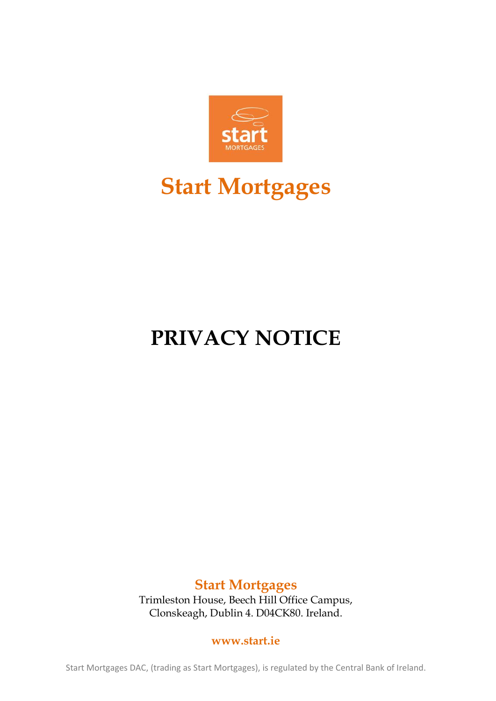

# **Start Mortgages**

# **PRIVACY NOTICE**

**Start Mortgages**

Trimleston House, Beech Hill Office Campus, Clonskeagh, Dublin 4. D04CK80. Ireland.

#### **[www.start.ie](http://www.start.ie/)**

Start Mortgages DAC, (trading as Start Mortgages), is regulated by the Central Bank of Ireland.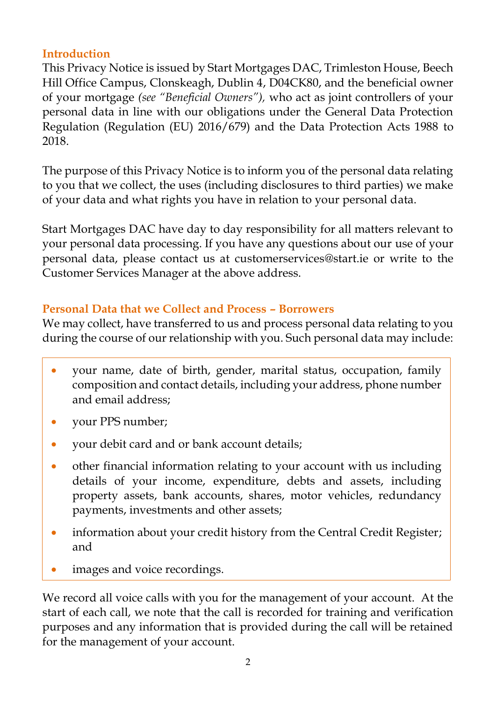# **Introduction**

This Privacy Notice is issued by Start Mortgages DAC, Trimleston House, Beech Hill Office Campus, Clonskeagh, Dublin 4, D04CK80, and the beneficial owner of your mortgage *(see "Beneficial Owners"),* who act as joint controllers of your personal data in line with our obligations under the General Data Protection Regulation (Regulation (EU) 2016/679) and the Data Protection Acts 1988 to 2018.

The purpose of this Privacy Notice is to inform you of the personal data relating to you that we collect, the uses (including disclosures to third parties) we make of your data and what rights you have in relation to your personal data.

Start Mortgages DAC have day to day responsibility for all matters relevant to your personal data processing. If you have any questions about our use of your personal data, please contact us at [customerservices@start.ie](mailto:customerservices@start.ie) or write to the Customer Services Manager at the above address.

# **Personal Data that we Collect and Process – Borrowers**

We may collect, have transferred to us and process personal data relating to you during the course of our relationship with you. Such personal data may include:

- your name, date of birth, gender, marital status, occupation, family composition and contact details, including your address, phone number and email address;
- vour PPS number;
- your debit card and or bank account details;
- other financial information relating to your account with us including details of your income, expenditure, debts and assets, including property assets, bank accounts, shares, motor vehicles, redundancy payments, investments and other assets;
- information about your credit history from the Central Credit Register; and
- images and voice recordings.

We record all voice calls with you for the management of your account. At the •start of each call, we note that the call is recorded for training and verification purposes and any information that is provided during the call will be retained for the management of your account.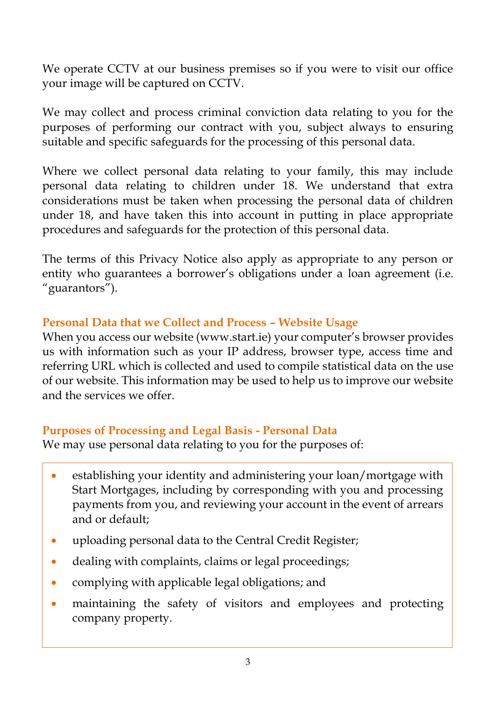We operate CCTV at our business premises so if you were to visit our office your image will be captured on CCTV.

We may collect and process criminal conviction data relating to you for the purposes of performing our contract with you, subject always to ensuring suitable and specific safeguards for the processing of this personal data.

Where we collect personal data relating to your family, this may include personal data relating to children under 18. We understand that extra considerations must be taken when processing the personal data of children under 18, and have taken this into account in putting in place appropriate procedures and safeguards for the protection of this personal data.

The terms of this Privacy Notice also apply as appropriate to any person or entity who guarantees a borrower's obligations under a loan agreement (i.e. "guarantors").

# **Personal Data that we Collect and Process – Website Usage**

When you access our website [\(www.start.ie\)](http://www.start.ie/) your computer's browser provides us with information such as your IP address, browser type, access time and referring URL which is collected and used to compile statistical data on the use of our website. This information may be used to help us to improve our website and the services we offer.

# **Purposes of Processing and Legal Basis - Personal Data**

We may use personal data relating to you for the purposes of:

- establishing your identity and administering your loan/mortgage with Start Mortgages, including by corresponding with you and processing payments from you, and reviewing your account in the event of arrears and or default;
- uploading personal data to the Central Credit Register;
- dealing with complaints, claims or legal proceedings;
- complying with applicable legal obligations; and
- maintaining the safety of visitors and employees and protecting company property.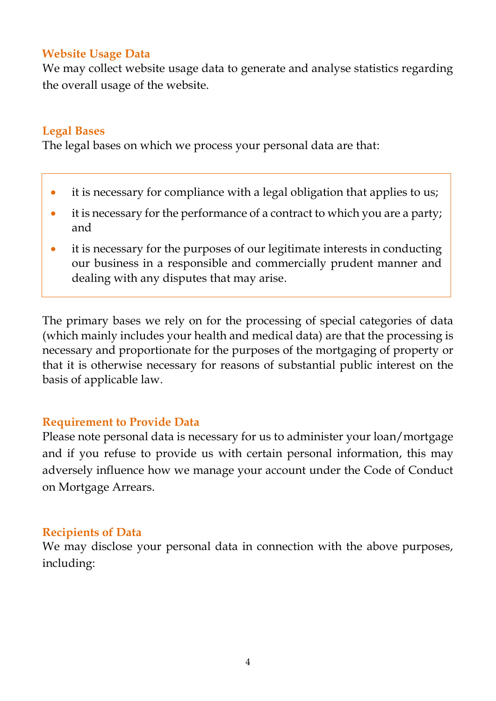## **Website Usage Data**

We may collect website usage data to generate and analyse statistics regarding the overall usage of the website.

#### **Legal Bases**

The legal bases on which we process your personal data are that:

- it is necessary for compliance with a legal obligation that applies to us;
- it is necessary for the performance of a contract to which you are a party; and
- it is necessary for the purposes of our legitimate interests in conducting our business in a responsible and commercially prudent manner and dealing with any disputes that may arise.

The primary bases we rely on for the processing of special categories of data (which mainly includes your health and medical data) are that the processing is necessary and proportionate for the purposes of the mortgaging of property or that it is otherwise necessary for reasons of substantial public interest on the basis of applicable law.

## **Requirement to Provide Data**

Please note personal data is necessary for us to administer your loan/mortgage and if you refuse to provide us with certain personal information, this may adversely influence how we manage your account under the Code of Conduct on Mortgage Arrears.

## **Recipients of Data**

We may disclose your personal data in connection with the above purposes, including: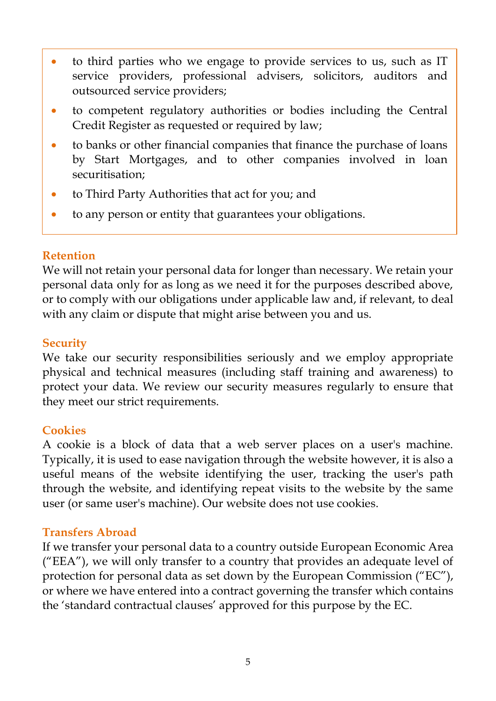- to third parties who we engage to provide services to us, such as IT service providers, professional advisers, solicitors, auditors and outsourced service providers;
- to competent regulatory authorities or bodies including the Central Credit Register as requested or required by law;
- to banks or other financial companies that finance the purchase of loans by Start Mortgages, and to other companies involved in loan securitisation;
- to Third Party Authorities that act for you; and
- to any person or entity that guarantees your obligations.

## **Retention**

We will not retain your personal data for longer than necessary. We retain your personal data only for as long as we need it for the purposes described above, or to comply with our obligations under applicable law and, if relevant, to deal with any claim or dispute that might arise between you and us.

## **Security**

We take our security responsibilities seriously and we employ appropriate physical and technical measures (including staff training and awareness) to protect your data. We review our security measures regularly to ensure that they meet our strict requirements.

## **Cookies**

A cookie is a block of data that a web server places on a user's machine. Typically, it is used to ease navigation through the website however, it is also a useful means of the website identifying the user, tracking the user's path through the website, and identifying repeat visits to the website by the same user (or same user's machine). Our website does not use cookies.

## **Transfers Abroad**

If we transfer your personal data to a country outside European Economic Area ("EEA"), we will only transfer to a country that provides an adequate level of protection for personal data as set down by the European Commission ("EC"), or where we have entered into a contract governing the transfer which contains the 'standard contractual clauses' approved for this purpose by the EC.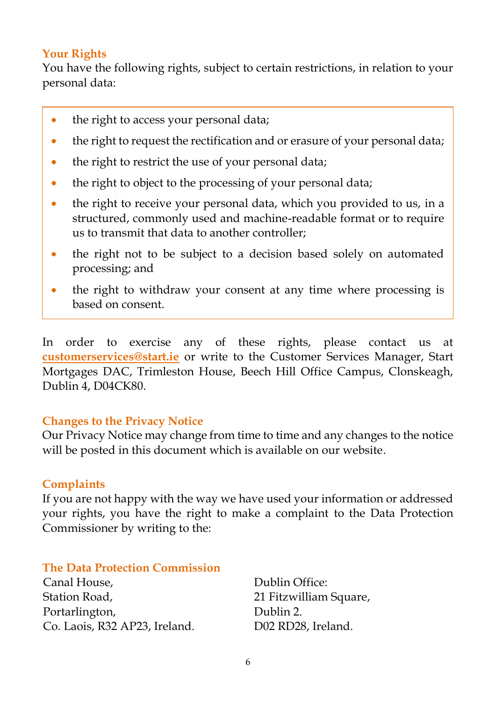## **Your Rights**

You have the following rights, subject to certain restrictions, in relation to your personal data:

- the right to access your personal data;
- the right to request the rectification and or erasure of your personal data;
- the right to restrict the use of your personal data;
- the right to object to the processing of your personal data;
- the right to receive your personal data, which you provided to us, in a structured, commonly used and machine-readable format or to require us to transmit that data to another controller;
- the right not to be subject to a decision based solely on automated processing; and
- the right to withdraw your consent at any time where processing is based on consent.

In order to exercise any of these rights, please contact us at **[customerservices@start.ie](mailto:customerservices@start.ie)** or write to the Customer Services Manager, Start Mortgages DAC, Trimleston House, Beech Hill Office Campus, Clonskeagh, Dublin 4, D04CK80.

## **Changes to the Privacy Notice**

Our Privacy Notice may change from time to time and any changes to the notice will be posted in this document which is available on our website.

## **Complaints**

If you are not happy with the way we have used your information or addressed your rights, you have the right to make a complaint to the Data Protection Commissioner by writing to the:

# **The Data Protection Commission**

| Canal House,                  | Dublin Office:         |
|-------------------------------|------------------------|
| Station Road.                 | 21 Fitzwilliam Square, |
| Portarlington,                | Dublin 2.              |
| Co. Laois, R32 AP23, Ireland. | D02 RD28, Ireland.     |